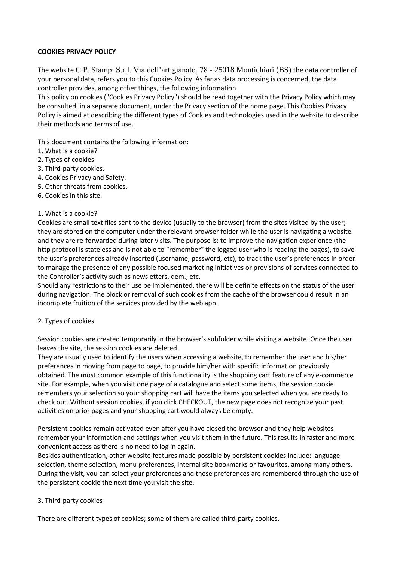# **COOKIES PRIVACY POLICY**

The website C.P. Stampi S.r.l. Via dell'artigianato, 78 - 25018 Montichiari (BS) the data controller of your personal data, refers you to this Cookies Policy. As far as data processing is concerned, the data controller provides, among other things, the following information.

This policy on cookies ("Cookies Privacy Policy") should be read together with the Privacy Policy which may be consulted, in a separate document, under the Privacy section of the home page. This Cookies Privacy Policy is aimed at describing the different types of Cookies and technologies used in the website to describe their methods and terms of use.

This document contains the following information:

- 1. What is a cookie?
- 2. Types of cookies.
- 3. Third-party cookies.
- 4. Cookies Privacy and Safety.
- 5. Other threats from cookies.
- 6. Cookies in this site.

### 1. What is a cookie?

Cookies are small text files sent to the device (usually to the browser) from the sites visited by the user; they are stored on the computer under the relevant browser folder while the user is navigating a website and they are re-forwarded during later visits. The purpose is: to improve the navigation experience (the http protocol is stateless and is not able to "remember" the logged user who is reading the pages), to save the user's preferences already inserted (username, password, etc), to track the user's preferences in order to manage the presence of any possible focused marketing initiatives or provisions of services connected to the Controller's activity such as newsletters, dem., etc.

Should any restrictions to their use be implemented, there will be definite effects on the status of the user during navigation. The block or removal of such cookies from the cache of the browser could result in an incomplete fruition of the services provided by the web app.

### 2. Types of cookies

Session cookies are created temporarily in the browser's subfolder while visiting a website. Once the user leaves the site, the session cookies are deleted.

They are usually used to identify the users when accessing a website, to remember the user and his/her preferences in moving from page to page, to provide him/her with specific information previously obtained. The most common example of this functionality is the shopping cart feature of any e-commerce site. For example, when you visit one page of a catalogue and select some items, the session cookie remembers your selection so your shopping cart will have the items you selected when you are ready to check out. Without session cookies, if you click CHECKOUT, the new page does not recognize your past activities on prior pages and your shopping cart would always be empty.

Persistent cookies remain activated even after you have closed the browser and they help websites remember your information and settings when you visit them in the future. This results in faster and more convenient access as there is no need to log in again.

Besides authentication, other website features made possible by persistent cookies include: language selection, theme selection, menu preferences, internal site bookmarks or favourites, among many others. During the visit, you can select your preferences and these preferences are remembered through the use of the persistent cookie the next time you visit the site.

### 3. Third-party cookies

There are different types of cookies; some of them are called third-party cookies.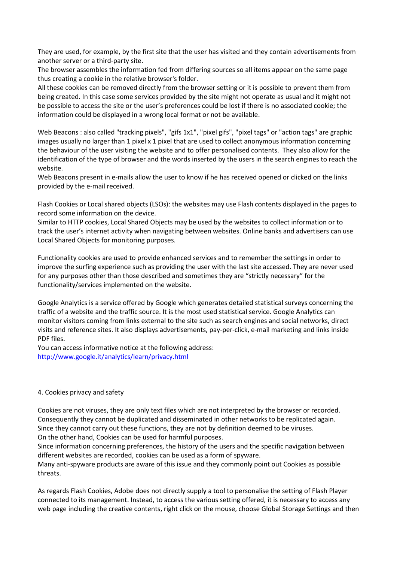They are used, for example, by the first site that the user has visited and they contain advertisements from another server or a third-party site.

The browser assembles the information fed from differing sources so all items appear on the same page thus creating a cookie in the relative browser's folder.

All these cookies can be removed directly from the browser setting or it is possible to prevent them from being created. In this case some services provided by the site might not operate as usual and it might not be possible to access the site or the user's preferences could be lost if there is no associated cookie; the information could be displayed in a wrong local format or not be available.

Web Beacons : also called "tracking pixels", "gifs 1x1", "pixel gifs", "pixel tags" or "action tags" are graphic images usually no larger than 1 pixel x 1 pixel that are used to collect anonymous information concerning the behaviour of the user visiting the website and to offer personalised contents. They also allow for the identification of the type of browser and the words inserted by the users in the search engines to reach the website.

Web Beacons present in e-mails allow the user to know if he has received opened or clicked on the links provided by the e-mail received.

Flash Cookies or Local shared objects (LSOs): the websites may use Flash contents displayed in the pages to record some information on the device.

Similar to HTTP cookies, Local Shared Objects may be used by the websites to collect information or to track the user's internet activity when navigating between websites. Online banks and advertisers can use Local Shared Objects for monitoring purposes.

Functionality cookies are used to provide enhanced services and to remember the settings in order to improve the surfing experience such as providing the user with the last site accessed. They are never used for any purposes other than those described and sometimes they are "strictly necessary" for the functionality/services implemented on the website.

Google Analytics is a service offered by Google which generates detailed statistical surveys concerning the traffic of a website and the traffic source. It is the most used statistical service. Google Analytics can monitor visitors coming from links external to the site such as search engines and social networks, direct visits and reference sites. It also displays advertisements, pay-per-click, e-mail marketing and links inside PDF files.

You can access informative notice at the following address: http://www.google.it/analytics/learn/privacy.html

### 4. Cookies privacy and safety

Cookies are not viruses, they are only text files which are not interpreted by the browser or recorded. Consequently they cannot be duplicated and disseminated in other networks to be replicated again. Since they cannot carry out these functions, they are not by definition deemed to be viruses. On the other hand, Cookies can be used for harmful purposes.

Since information concerning preferences, the history of the users and the specific navigation between different websites are recorded, cookies can be used as a form of spyware.

Many anti-spyware products are aware of this issue and they commonly point out Cookies as possible threats.

As regards Flash Cookies, Adobe does not directly supply a tool to personalise the setting of Flash Player connected to its management. Instead, to access the various setting offered, it is necessary to access any web page including the creative contents, right click on the mouse, choose Global Storage Settings and then